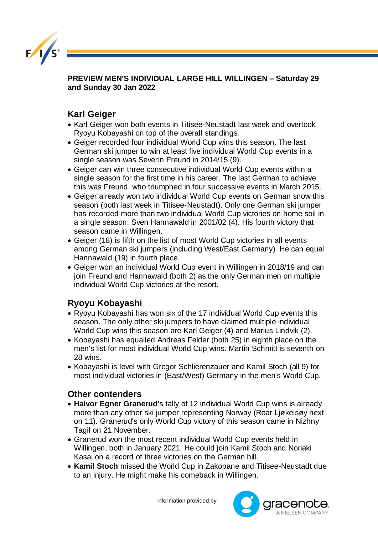

**PREVIEW MEN'S INDIVIDUAL LARGE HILL WILLINGEN – Saturday 29 and Sunday 30 Jan 2022** 

## **Karl Geiger**

- Karl Geiger won both events in Titisee-Neustadt last week and overtook Ryoyu Kobayashi on top of the overall standings.
- Geiger recorded four individual World Cup wins this season. The last German ski jumper to win at least five individual World Cup events in a single season was Severin Freund in 2014/15 (9).
- Geiger can win three consecutive individual World Cup events within a single season for the first time in his career. The last German to achieve this was Freund, who triumphed in four successive events in March 2015.
- Geiger already won two individual World Cup events on German snow this season (both last week in Titisee-Neustadt). Only one German ski jumper has recorded more than two individual World Cup victories on home soil in a single season: Sven Hannawald in 2001/02 (4). His fourth victory that season came in Willingen.
- Geiger (18) is fifth on the list of most World Cup victories in all events among German ski jumpers (including West/East Germany). He can equal Hannawald (19) in fourth place.
- Geiger won an individual World Cup event in Willingen in 2018/19 and can join Freund and Hannawald (both 2) as the only German men on multiple individual World Cup victories at the resort.

## **Ryoyu Kobayashi**

- Ryoyu Kobayashi has won six of the 17 individual World Cup events this season. The only other ski jumpers to have claimed multiple individual World Cup wins this season are Karl Geiger (4) and Marius Lindvik (2).
- Kobayashi has equalled Andreas Felder (both 25) in eighth place on the men's list for most individual World Cup wins. Martin Schmitt is seventh on 28 wins.
- Kobayashi is level with Gregor Schlierenzauer and Kamil Stoch (all 9) for most individual victories in (East/West) Germany in the men's World Cup.

## **Other contenders**

- **Halvor Egner Granerud**'s tally of 12 individual World Cup wins is already more than any other ski jumper representing Norway (Roar Ljøkelsøy next on 11). Granerud's only World Cup victory of this season came in Nizhny Tagil on 21 November.
- Granerud won the most recent individual World Cup events held in Willingen, both in January 2021. He could join Kamil Stoch and Noriaki Kasai on a record of three victories on the German hill.
- **Kamil Stoch** missed the World Cup in Zakopane and Titisee-Neustadt due to an injury. He might make his comeback in Willingen.

Information provided by